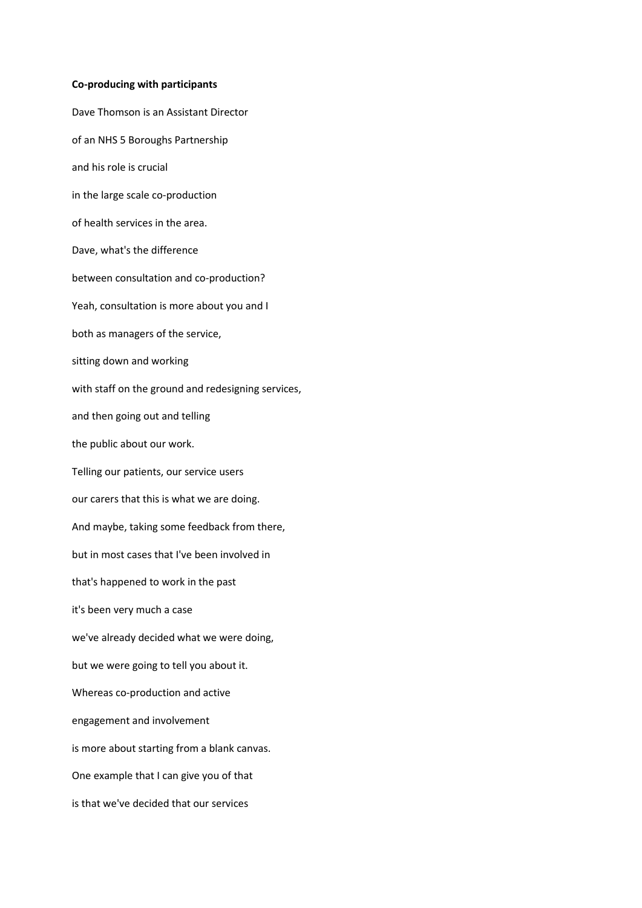## **Co-producing with participants**

Dave Thomson is an Assistant Director of an NHS 5 Boroughs Partnership and his role is crucial in the large scale co-production of health services in the area. Dave, what's the difference between consultation and co-production? Yeah, consultation is more about you and I both as managers of the service, sitting down and working with staff on the ground and redesigning services, and then going out and telling the public about our work. Telling our patients, our service users our carers that this is what we are doing. And maybe, taking some feedback from there, but in most cases that I've been involved in that's happened to work in the past it's been very much a case we've already decided what we were doing, but we were going to tell you about it. Whereas co-production and active engagement and involvement is more about starting from a blank canvas. One example that I can give you of that is that we've decided that our services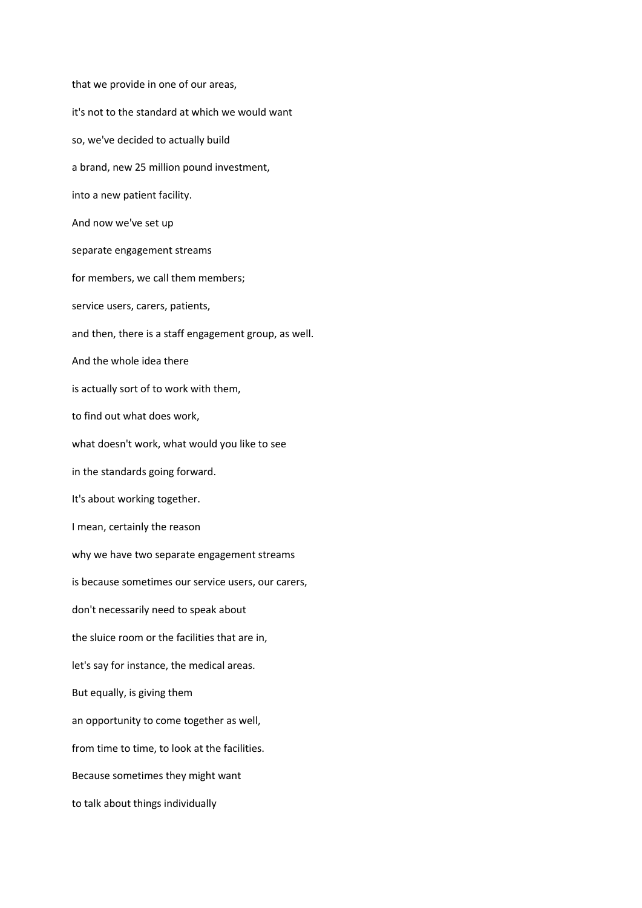that we provide in one of our areas, it's not to the standard at which we would want so, we've decided to actually build a brand, new 25 million pound investment, into a new patient facility. And now we've set up separate engagement streams for members, we call them members; service users, carers, patients, and then, there is a staff engagement group, as well. And the whole idea there is actually sort of to work with them, to find out what does work, what doesn't work, what would you like to see in the standards going forward. It's about working together. I mean, certainly the reason why we have two separate engagement streams is because sometimes our service users, our carers, don't necessarily need to speak about the sluice room or the facilities that are in, let's say for instance, the medical areas. But equally, is giving them an opportunity to come together as well, from time to time, to look at the facilities. Because sometimes they might want to talk about things individually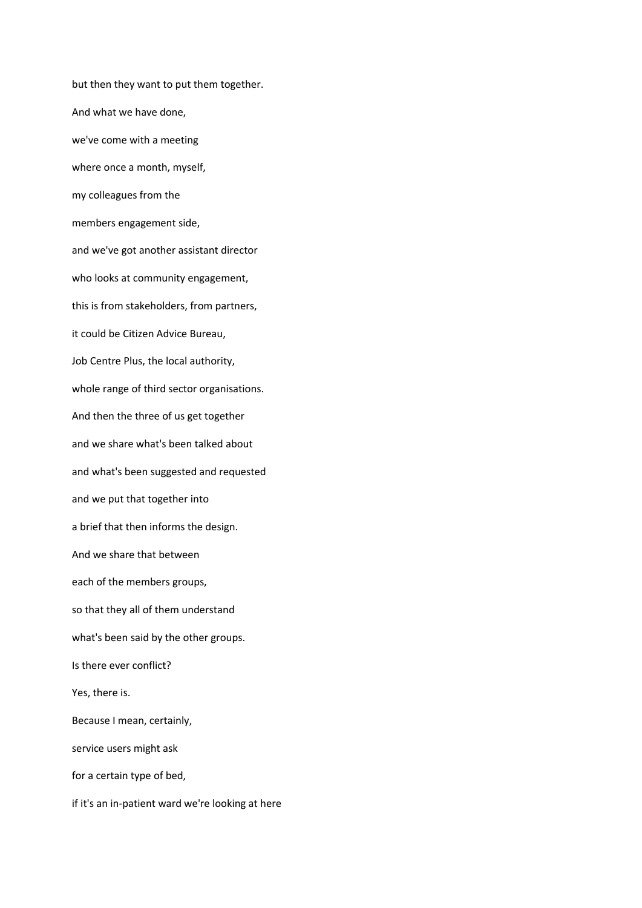but then they want to put them together. And what we have done, we've come with a meeting where once a month, myself, my colleagues from the members engagement side, and we've got another assistant director who looks at community engagement, this is from stakeholders, from partners, it could be Citizen Advice Bureau, Job Centre Plus, the local authority, whole range of third sector organisations. And then the three of us get together and we share what's been talked about and what's been suggested and requested and we put that together into a brief that then informs the design. And we share that between each of the members groups, so that they all of them understand what's been said by the other groups. Is there ever conflict? Yes, there is. Because I mean, certainly, service users might ask for a certain type of bed, if it's an in-patient ward we're looking at here